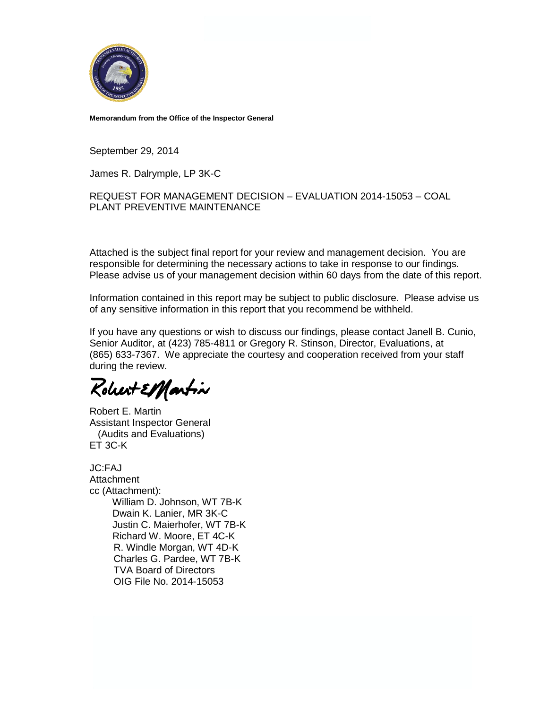

**Memorandum from the Office of the Inspector General**

September 29, 2014

James R. Dalrymple, LP 3K-C

#### REQUEST FOR MANAGEMENT DECISION – EVALUATION 2014-15053 – COAL PLANT PREVENTIVE MAINTENANCE

Attached is the subject final report for your review and management decision. You are responsible for determining the necessary actions to take in response to our findings. Please advise us of your management decision within 60 days from the date of this report.

Information contained in this report may be subject to public disclosure. Please advise us of any sensitive information in this report that you recommend be withheld.

If you have any questions or wish to discuss our findings, please contact Janell B. Cunio, Senior Auditor, at (423) 785-4811 or Gregory R. Stinson, Director, Evaluations, at (865) 633-7367. We appreciate the courtesy and cooperation received from your staff during the review.

Robert EMartin

Robert E. Martin Assistant Inspector General (Audits and Evaluations) ET 3C-K

JC:FAJ **Attachment** cc (Attachment): William D. Johnson, WT 7B-K Dwain K. Lanier, MR 3K-C Justin C. Maierhofer, WT 7B-K Richard W. Moore, ET 4C-K R. Windle Morgan, WT 4D-K Charles G. Pardee, WT 7B-K TVA Board of Directors OIG File No. 2014-15053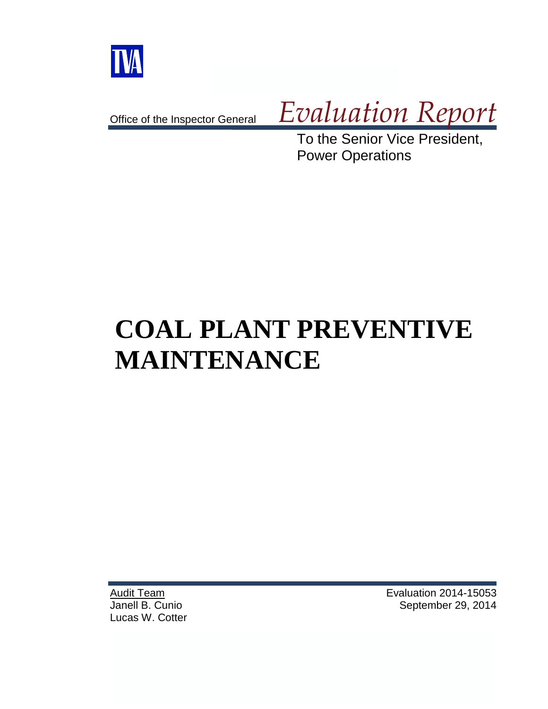

Office of the Inspector General

*Evaluation Report*

To the Senior Vice President, Power Operations

# **COAL PLANT PREVENTIVE MAINTENANCE**

Audit Team Janell B. Cunio Lucas W. Cotter Evaluation 2014-15053 September 29, 2014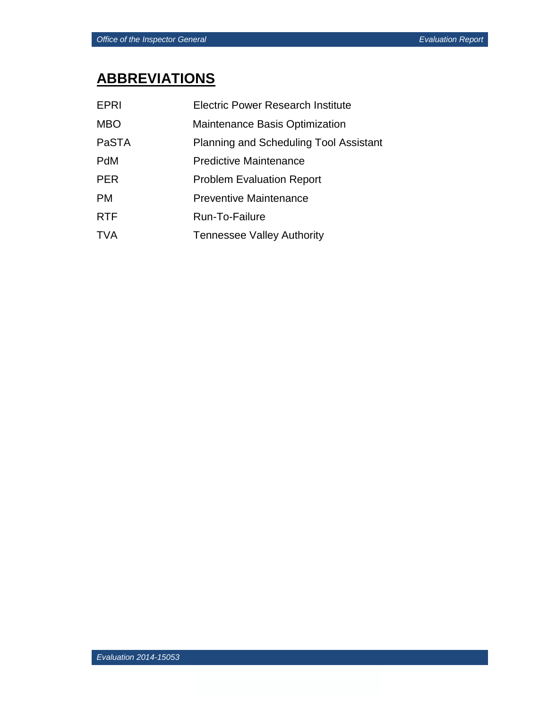# **ABBREVIATIONS**

| <b>EPRI</b> | <b>Electric Power Research Institute</b>      |
|-------------|-----------------------------------------------|
| <b>MBO</b>  | Maintenance Basis Optimization                |
| PaSTA       | <b>Planning and Scheduling Tool Assistant</b> |
| PdM         | <b>Predictive Maintenance</b>                 |
| <b>PER</b>  | <b>Problem Evaluation Report</b>              |
| <b>PM</b>   | <b>Preventive Maintenance</b>                 |
| <b>RTF</b>  | Run-To-Failure                                |
| <b>TVA</b>  | <b>Tennessee Valley Authority</b>             |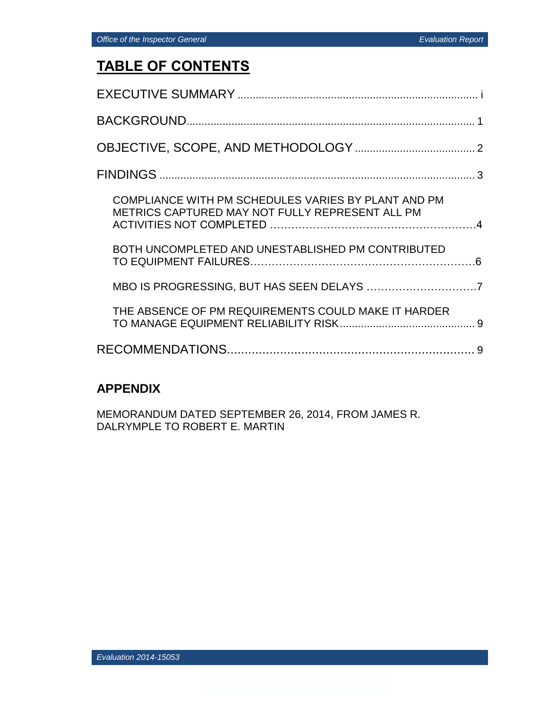# **TABLE OF CONTENTS**

| COMPLIANCE WITH PM SCHEDULES VARIES BY PLANT AND PM<br>METRICS CAPTURED MAY NOT FULLY REPRESENT ALL PM |  |
|--------------------------------------------------------------------------------------------------------|--|
| BOTH UNCOMPLETED AND UNESTABLISHED PM CONTRIBUTED                                                      |  |
|                                                                                                        |  |
| THE ABSENCE OF PM REQUIREMENTS COULD MAKE IT HARDER                                                    |  |
|                                                                                                        |  |
|                                                                                                        |  |

## **APPENDIX**

MEMORANDUM DATED SEPTEMBER 26, 2014, FROM JAMES R. DALRYMPLE TO ROBERT E. MARTIN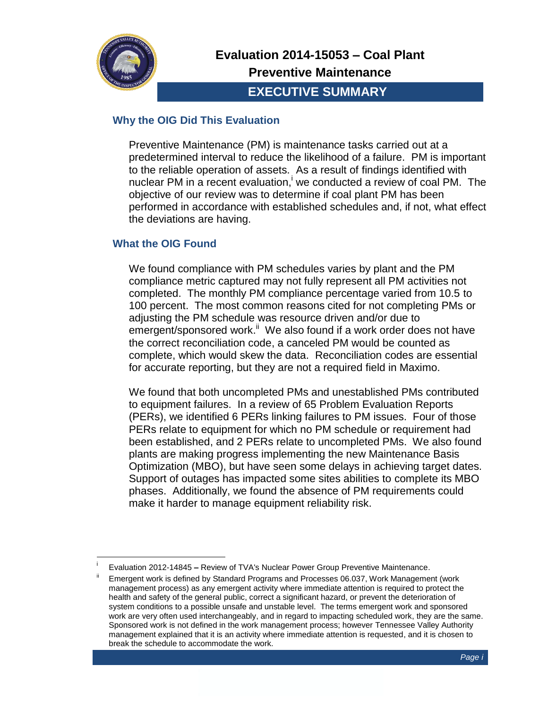

 $\overline{a}$ 

# **Evaluation 2014-15053 – Coal Plant Preventive Maintenance**

## **EXECUTIVE SUMMARY**

### **Why the OIG Did This Evaluation**

Preventive Maintenance (PM) is maintenance tasks carried out at a predetermined interval to reduce the likelihood of a failure. PM is important to the reliable operation of assets. As a result of findings identified with nuclear PM in a recent evaluation,<sup>i</sup> we conducted a review of coal PM. The objective of our review was to determine if coal plant PM has been performed in accordance with established schedules and, if not, what effect the deviations are having.

### **What the OIG Found**

We found compliance with PM schedules varies by plant and the PM compliance metric captured may not fully represent all PM activities not completed. The monthly PM compliance percentage varied from 10.5 to 100 percent. The most common reasons cited for not completing PMs or adjusting the PM schedule was resource driven and/or due to emergent/sponsored work.<sup>ii</sup> We also found if a work order does not have the correct reconciliation code, a canceled PM would be counted as complete, which would skew the data. Reconciliation codes are essential for accurate reporting, but they are not a required field in Maximo.

We found that both uncompleted PMs and unestablished PMs contributed to equipment failures. In a review of 65 Problem Evaluation Reports (PERs), we identified 6 PERs linking failures to PM issues. Four of those PERs relate to equipment for which no PM schedule or requirement had been established, and 2 PERs relate to uncompleted PMs. We also found plants are making progress implementing the new Maintenance Basis Optimization (MBO), but have seen some delays in achieving target dates. Support of outages has impacted some sites abilities to complete its MBO phases. Additionally, we found the absence of PM requirements could make it harder to manage equipment reliability risk.

i Evaluation 2012-14845 **–** Review of TVA's Nuclear Power Group Preventive Maintenance.

Emergent work is defined by Standard Programs and Processes 06.037, Work Management (work management process) as any emergent activity where immediate attention is required to protect the health and safety of the general public, correct a significant hazard, or prevent the deterioration of system conditions to a possible unsafe and unstable level. The terms emergent work and sponsored work are very often used interchangeably, and in regard to impacting scheduled work, they are the same. Sponsored work is not defined in the work management process; however Tennessee Valley Authority management explained that it is an activity where immediate attention is requested, and it is chosen to break the schedule to accommodate the work.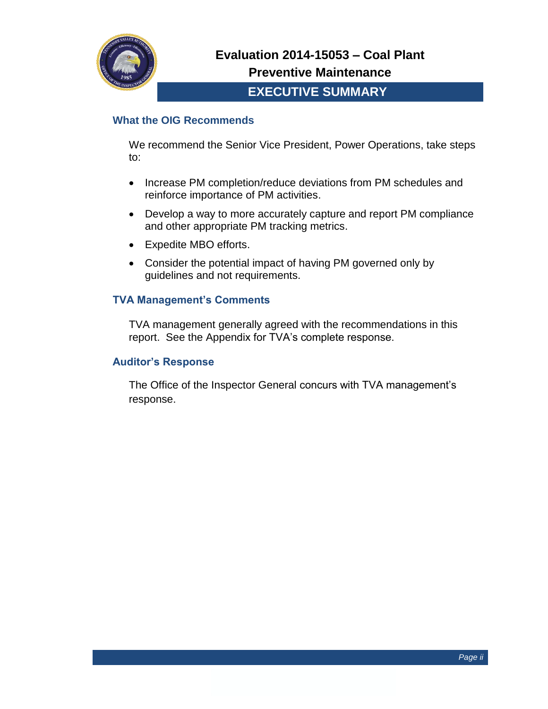

# **Evaluation 2014-15053 – Coal Plant Preventive Maintenance**

## **EXECUTIVE SUMMARY**

### **What the OIG Recommends**

We recommend the Senior Vice President, Power Operations, take steps to:

- Increase PM completion/reduce deviations from PM schedules and reinforce importance of PM activities.
- Develop a way to more accurately capture and report PM compliance and other appropriate PM tracking metrics.
- Expedite MBO efforts.
- Consider the potential impact of having PM governed only by guidelines and not requirements.

## **TVA Management's Comments**

TVA management generally agreed with the recommendations in this report. See the Appendix for TVA's complete response.

### **Auditor's Response**

The Office of the Inspector General concurs with TVA management's response.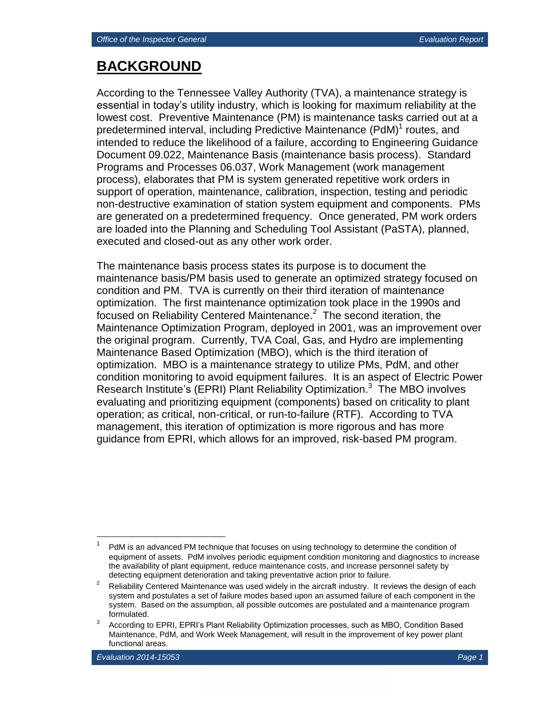## **BACKGROUND**

According to the Tennessee Valley Authority (TVA), a maintenance strategy is essential in today's utility industry, which is looking for maximum reliability at the lowest cost. Preventive Maintenance (PM) is maintenance tasks carried out at a predetermined interval, including Predictive Maintenance (PdM)<sup>1</sup> routes, and intended to reduce the likelihood of a failure, according to Engineering Guidance Document 09.022, Maintenance Basis (maintenance basis process). Standard Programs and Processes 06.037, Work Management (work management process), elaborates that PM is system generated repetitive work orders in support of operation, maintenance, calibration, inspection, testing and periodic non-destructive examination of station system equipment and components. PMs are generated on a predetermined frequency. Once generated, PM work orders are loaded into the Planning and Scheduling Tool Assistant (PaSTA), planned, executed and closed-out as any other work order.

The maintenance basis process states its purpose is to document the maintenance basis/PM basis used to generate an optimized strategy focused on condition and PM. TVA is currently on their third iteration of maintenance optimization. The first maintenance optimization took place in the 1990s and focused on Reliability Centered Maintenance.<sup>2</sup> The second iteration, the Maintenance Optimization Program, deployed in 2001, was an improvement over the original program. Currently, TVA Coal, Gas, and Hydro are implementing Maintenance Based Optimization (MBO), which is the third iteration of optimization. MBO is a maintenance strategy to utilize PMs, PdM, and other condition monitoring to avoid equipment failures. It is an aspect of Electric Power Research Institute's (EPRI) Plant Reliability Optimization.<sup>3</sup> The MBO involves evaluating and prioritizing equipment (components) based on criticality to plant operation; as critical, non-critical, or run-to-failure (RTF). According to TVA management, this iteration of optimization is more rigorous and has more guidance from EPRI, which allows for an improved, risk-based PM program.

 $\overline{a}$ 

<sup>1</sup> PdM is an advanced PM technique that focuses on using technology to determine the condition of equipment of assets. PdM involves periodic equipment condition monitoring and diagnostics to increase the availability of plant equipment, reduce maintenance costs, and increase personnel safety by detecting equipment deterioration and taking preventative action prior to failure.

<sup>&</sup>lt;sup>2</sup> Reliability Centered Maintenance was used widely in the aircraft industry. It reviews the design of each system and postulates a set of failure modes based upon an assumed failure of each component in the system. Based on the assumption, all possible outcomes are postulated and a maintenance program formulated.

<sup>3</sup> According to EPRI, EPRI's Plant Reliability Optimization processes, such as MBO, Condition Based Maintenance, PdM, and Work Week Management, will result in the improvement of key power plant functional areas.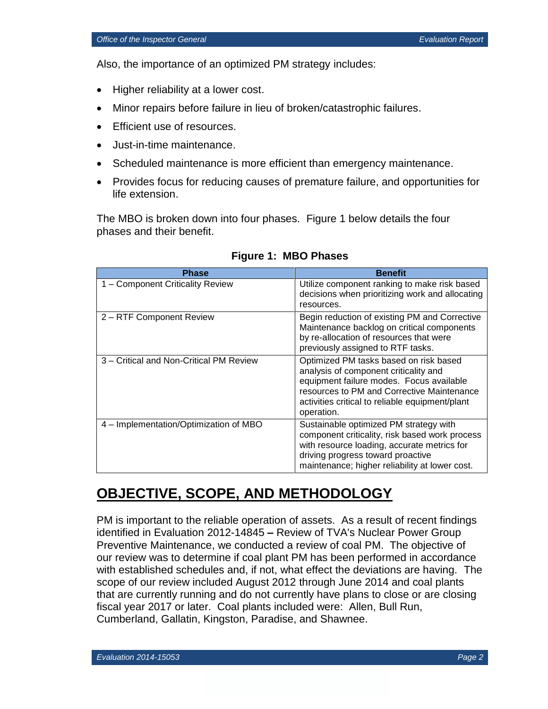Also, the importance of an optimized PM strategy includes:

- Higher reliability at a lower cost.
- Minor repairs before failure in lieu of broken/catastrophic failures.
- Efficient use of resources.
- Just-in-time maintenance.
- Scheduled maintenance is more efficient than emergency maintenance.
- Provides focus for reducing causes of premature failure, and opportunities for life extension.

The MBO is broken down into four phases. Figure 1 below details the four phases and their benefit.

| <b>Phase</b>                            | <b>Benefit</b>                                                                                                                                                                                                                             |
|-----------------------------------------|--------------------------------------------------------------------------------------------------------------------------------------------------------------------------------------------------------------------------------------------|
| - Component Criticality Review          | Utilize component ranking to make risk based<br>decisions when prioritizing work and allocating<br>resources.                                                                                                                              |
| 2 - RTF Component Review                | Begin reduction of existing PM and Corrective<br>Maintenance backlog on critical components<br>by re-allocation of resources that were<br>previously assigned to RTF tasks.                                                                |
| 3 – Critical and Non-Critical PM Review | Optimized PM tasks based on risk based<br>analysis of component criticality and<br>equipment failure modes. Focus available<br>resources to PM and Corrective Maintenance<br>activities critical to reliable equipment/plant<br>operation. |
| 4 - Implementation/Optimization of MBO  | Sustainable optimized PM strategy with<br>component criticality, risk based work process<br>with resource loading, accurate metrics for<br>driving progress toward proactive<br>maintenance; higher reliability at lower cost.             |

#### **Figure 1: MBO Phases**

# **OBJECTIVE, SCOPE, AND METHODOLOGY**

PM is important to the reliable operation of assets. As a result of recent findings identified in Evaluation 2012-14845 **–** Review of TVA's Nuclear Power Group Preventive Maintenance, we conducted a review of coal PM. The objective of our review was to determine if coal plant PM has been performed in accordance with established schedules and, if not, what effect the deviations are having. The scope of our review included August 2012 through June 2014 and coal plants that are currently running and do not currently have plans to close or are closing fiscal year 2017 or later. Coal plants included were: Allen, Bull Run, Cumberland, Gallatin, Kingston, Paradise, and Shawnee.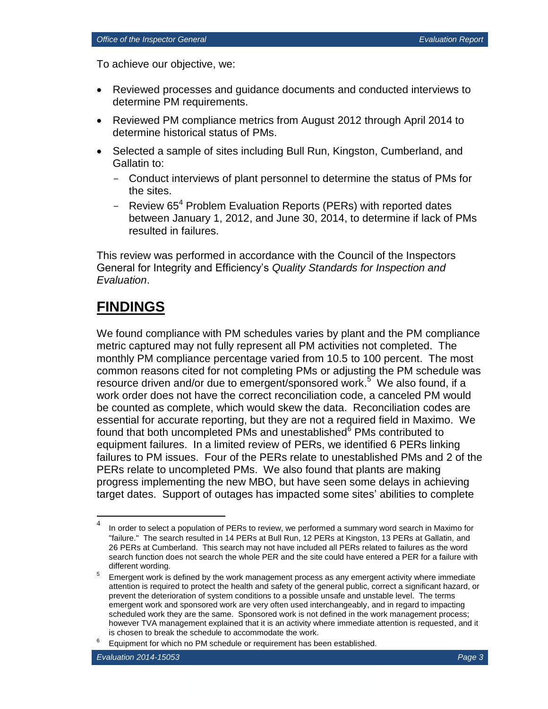To achieve our objective, we:

- Reviewed processes and guidance documents and conducted interviews to determine PM requirements.
- Reviewed PM compliance metrics from August 2012 through April 2014 to determine historical status of PMs.
- Selected a sample of sites including Bull Run, Kingston, Cumberland, and Gallatin to:
	- Conduct interviews of plant personnel to determine the status of PMs for the sites.
	- Review  $65<sup>4</sup>$  Problem Evaluation Reports (PERs) with reported dates between January 1, 2012, and June 30, 2014, to determine if lack of PMs resulted in failures.

This review was performed in accordance with the Council of the Inspectors General for Integrity and Efficiency's *Quality Standards for Inspection and Evaluation*.

# **FINDINGS**

We found compliance with PM schedules varies by plant and the PM compliance metric captured may not fully represent all PM activities not completed. The monthly PM compliance percentage varied from 10.5 to 100 percent. The most common reasons cited for not completing PMs or adjusting the PM schedule was resource driven and/or due to emergent/sponsored work.<sup>5</sup> We also found, if a work order does not have the correct reconciliation code, a canceled PM would be counted as complete, which would skew the data. Reconciliation codes are essential for accurate reporting, but they are not a required field in Maximo. We found that both uncompleted PMs and unestablished<sup>6</sup> PMs contributed to equipment failures. In a limited review of PERs, we identified 6 PERs linking failures to PM issues. Four of the PERs relate to unestablished PMs and 2 of the PERs relate to uncompleted PMs. We also found that plants are making progress implementing the new MBO, but have seen some delays in achieving target dates. Support of outages has impacted some sites' abilities to complete

 $\overline{a}$ 

<sup>4</sup> In order to select a population of PERs to review, we performed a summary word search in Maximo for "failure." The search resulted in 14 PERs at Bull Run, 12 PERs at Kingston, 13 PERs at Gallatin, and 26 PERs at Cumberland. This search may not have included all PERs related to failures as the word search function does not search the whole PER and the site could have entered a PER for a failure with different wording.

<sup>5</sup> Emergent work is defined by the work management process as any emergent activity where immediate attention is required to protect the health and safety of the general public, correct a significant hazard, or prevent the deterioration of system conditions to a possible unsafe and unstable level. The terms emergent work and sponsored work are very often used interchangeably, and in regard to impacting scheduled work they are the same. Sponsored work is not defined in the work management process; however TVA management explained that it is an activity where immediate attention is requested, and it is chosen to break the schedule to accommodate the work.

<sup>6</sup> Equipment for which no PM schedule or requirement has been established.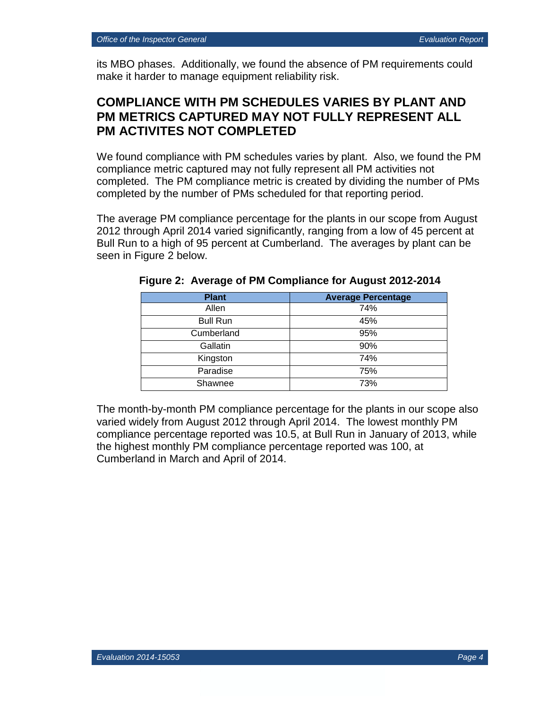its MBO phases. Additionally, we found the absence of PM requirements could make it harder to manage equipment reliability risk.

## **COMPLIANCE WITH PM SCHEDULES VARIES BY PLANT AND PM METRICS CAPTURED MAY NOT FULLY REPRESENT ALL PM ACTIVITES NOT COMPLETED**

We found compliance with PM schedules varies by plant. Also, we found the PM compliance metric captured may not fully represent all PM activities not completed. The PM compliance metric is created by dividing the number of PMs completed by the number of PMs scheduled for that reporting period.

The average PM compliance percentage for the plants in our scope from August 2012 through April 2014 varied significantly, ranging from a low of 45 percent at Bull Run to a high of 95 percent at Cumberland. The averages by plant can be seen in Figure 2 below.

| <b>Plant</b>    | <b>Average Percentage</b> |
|-----------------|---------------------------|
| Allen           | 74%                       |
| <b>Bull Run</b> | 45%                       |
| Cumberland      | 95%                       |
| Gallatin        | 90%                       |
| Kingston        | 74%                       |
| Paradise        | 75%                       |
| Shawnee         | 73%                       |

The month-by-month PM compliance percentage for the plants in our scope also varied widely from August 2012 through April 2014. The lowest monthly PM compliance percentage reported was 10.5, at Bull Run in January of 2013, while the highest monthly PM compliance percentage reported was 100, at Cumberland in March and April of 2014.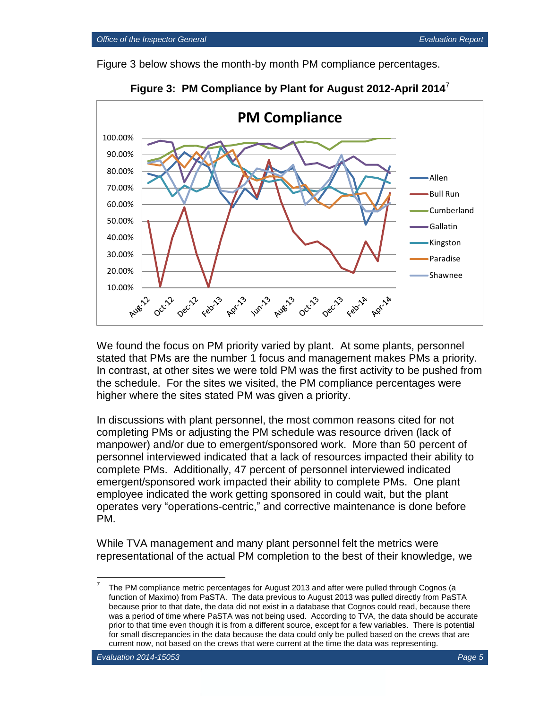

Figure 3 below shows the month-by month PM compliance percentages.

We found the focus on PM priority varied by plant. At some plants, personnel stated that PMs are the number 1 focus and management makes PMs a priority. In contrast, at other sites we were told PM was the first activity to be pushed from the schedule. For the sites we visited, the PM compliance percentages were higher where the sites stated PM was given a priority.

In discussions with plant personnel, the most common reasons cited for not completing PMs or adjusting the PM schedule was resource driven (lack of manpower) and/or due to emergent/sponsored work. More than 50 percent of personnel interviewed indicated that a lack of resources impacted their ability to complete PMs. Additionally, 47 percent of personnel interviewed indicated emergent/sponsored work impacted their ability to complete PMs. One plant employee indicated the work getting sponsored in could wait, but the plant operates very "operations-centric," and corrective maintenance is done before PM.

While TVA management and many plant personnel felt the metrics were representational of the actual PM completion to the best of their knowledge, we

 $\overline{a}$ 

<sup>7</sup> The PM compliance metric percentages for August 2013 and after were pulled through Cognos (a function of Maximo) from PaSTA. The data previous to August 2013 was pulled directly from PaSTA because prior to that date, the data did not exist in a database that Cognos could read, because there was a period of time where PaSTA was not being used. According to TVA, the data should be accurate prior to that time even though it is from a different source, except for a few variables. There is potential for small discrepancies in the data because the data could only be pulled based on the crews that are current now, not based on the crews that were current at the time the data was representing.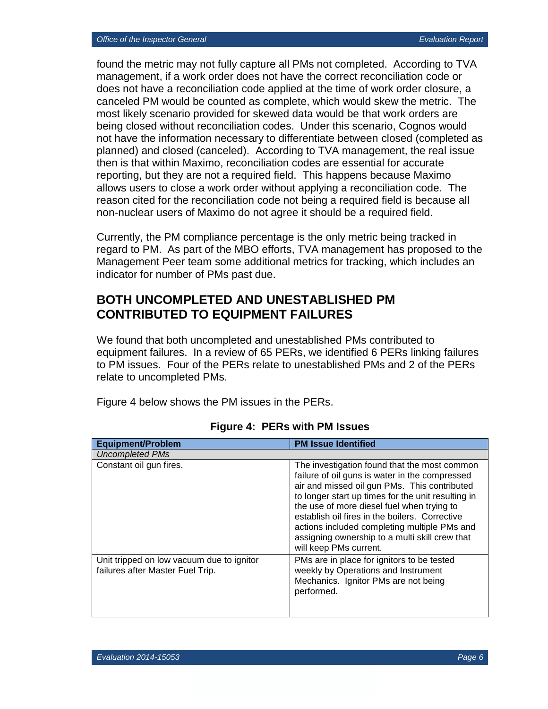found the metric may not fully capture all PMs not completed. According to TVA management, if a work order does not have the correct reconciliation code or does not have a reconciliation code applied at the time of work order closure, a canceled PM would be counted as complete, which would skew the metric. The most likely scenario provided for skewed data would be that work orders are being closed without reconciliation codes. Under this scenario, Cognos would not have the information necessary to differentiate between closed (completed as planned) and closed (canceled). According to TVA management, the real issue then is that within Maximo, reconciliation codes are essential for accurate reporting, but they are not a required field. This happens because Maximo allows users to close a work order without applying a reconciliation code. The reason cited for the reconciliation code not being a required field is because all non-nuclear users of Maximo do not agree it should be a required field.

Currently, the PM compliance percentage is the only metric being tracked in regard to PM. As part of the MBO efforts, TVA management has proposed to the Management Peer team some additional metrics for tracking, which includes an indicator for number of PMs past due.

## **BOTH UNCOMPLETED AND UNESTABLISHED PM CONTRIBUTED TO EQUIPMENT FAILURES**

We found that both uncompleted and unestablished PMs contributed to equipment failures. In a review of 65 PERs, we identified 6 PERs linking failures to PM issues. Four of the PERs relate to unestablished PMs and 2 of the PERs relate to uncompleted PMs.

Figure 4 below shows the PM issues in the PERs.

| <b>Equipment/Problem</b>                                                      | <b>PM Issue Identified</b>                                                                                                                                                                                                                                                                                                                                                                                                       |  |  |  |  |
|-------------------------------------------------------------------------------|----------------------------------------------------------------------------------------------------------------------------------------------------------------------------------------------------------------------------------------------------------------------------------------------------------------------------------------------------------------------------------------------------------------------------------|--|--|--|--|
| <b>Uncompleted PMs</b>                                                        |                                                                                                                                                                                                                                                                                                                                                                                                                                  |  |  |  |  |
| Constant oil gun fires.                                                       | The investigation found that the most common<br>failure of oil guns is water in the compressed<br>air and missed oil gun PMs. This contributed<br>to longer start up times for the unit resulting in<br>the use of more diesel fuel when trying to<br>establish oil fires in the boilers. Corrective<br>actions included completing multiple PMs and<br>assigning ownership to a multi skill crew that<br>will keep PMs current. |  |  |  |  |
| Unit tripped on low vacuum due to ignitor<br>failures after Master Fuel Trip. | PMs are in place for ignitors to be tested<br>weekly by Operations and Instrument<br>Mechanics. Ignitor PMs are not being<br>performed.                                                                                                                                                                                                                                                                                          |  |  |  |  |

#### **Figure 4: PERs with PM Issues**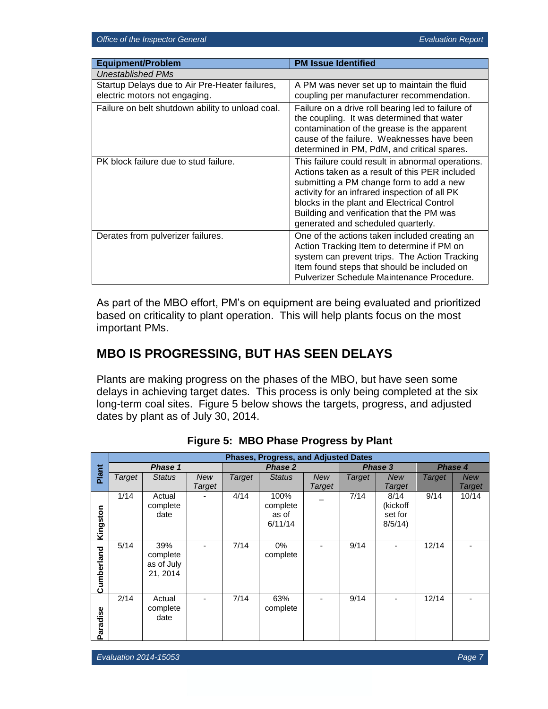| <b>Equipment/Problem</b>                                                        | <b>PM Issue Identified</b>                                                                                                                                                                                                                                                                                                        |  |  |  |  |  |
|---------------------------------------------------------------------------------|-----------------------------------------------------------------------------------------------------------------------------------------------------------------------------------------------------------------------------------------------------------------------------------------------------------------------------------|--|--|--|--|--|
| Unestablished PMs                                                               |                                                                                                                                                                                                                                                                                                                                   |  |  |  |  |  |
| Startup Delays due to Air Pre-Heater failures,<br>electric motors not engaging. | A PM was never set up to maintain the fluid<br>coupling per manufacturer recommendation.                                                                                                                                                                                                                                          |  |  |  |  |  |
| Failure on belt shutdown ability to unload coal.                                | Failure on a drive roll bearing led to failure of<br>the coupling. It was determined that water<br>contamination of the grease is the apparent<br>cause of the failure. Weaknesses have been<br>determined in PM, PdM, and critical spares.                                                                                       |  |  |  |  |  |
| PK block failure due to stud failure.                                           | This failure could result in abnormal operations.<br>Actions taken as a result of this PER included<br>submitting a PM change form to add a new<br>activity for an infrared inspection of all PK<br>blocks in the plant and Electrical Control<br>Building and verification that the PM was<br>generated and scheduled quarterly. |  |  |  |  |  |
| Derates from pulverizer failures.                                               | One of the actions taken included creating an<br>Action Tracking Item to determine if PM on<br>system can prevent trips. The Action Tracking<br>Item found steps that should be included on<br>Pulverizer Schedule Maintenance Procedure.                                                                                         |  |  |  |  |  |

As part of the MBO effort, PM's on equipment are being evaluated and prioritized based on criticality to plant operation. This will help plants focus on the most important PMs.

## **MBO IS PROGRESSING, BUT HAS SEEN DELAYS**

Plants are making progress on the phases of the MBO, but have seen some delays in achieving target dates. This process is only being completed at the six long-term coal sites. Figure 5 below shows the targets, progress, and adjusted dates by plant as of July 30, 2014.

| <b>Phases, Progress, and Adjusted Dates</b> |               |                                           |            |               |                                      |            |               |                                       |               |               |
|---------------------------------------------|---------------|-------------------------------------------|------------|---------------|--------------------------------------|------------|---------------|---------------------------------------|---------------|---------------|
|                                             | Phase 1       |                                           |            | Phase 2       |                                      |            | Phase 3       |                                       | Phase 4       |               |
| Plant                                       | <b>Target</b> | <b>Status</b>                             | <b>New</b> | <b>Target</b> | <b>Status</b>                        | <b>New</b> | <b>Target</b> | <b>New</b>                            | <b>Target</b> | <b>New</b>    |
|                                             |               |                                           | Target     |               |                                      | Target     |               | <b>Target</b>                         |               | <b>Target</b> |
| Kingston                                    | 1/14          | Actual<br>complete<br>date                |            | 4/14          | 100%<br>complete<br>as of<br>6/11/14 |            | 7/14          | 8/14<br>(kickoff<br>set for<br>8/5/14 | 9/14          | 10/14         |
| Cumberland                                  | 5/14          | 39%<br>complete<br>as of July<br>21, 2014 |            | 7/14          | 0%<br>complete                       |            | 9/14          |                                       | 12/14         |               |
| Paradise                                    | 2/14          | Actual<br>complete<br>date                |            | 7/14          | 63%<br>complete                      |            | 9/14          |                                       | 12/14         |               |

#### **Figure 5: MBO Phase Progress by Plant**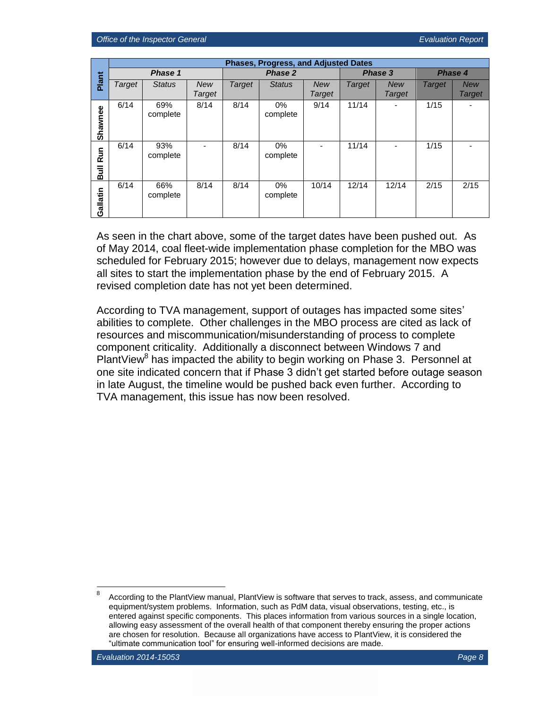|                              | <b>Phases, Progress, and Adjusted Dates</b> |                 |            |               |                |            |               |               |         |               |
|------------------------------|---------------------------------------------|-----------------|------------|---------------|----------------|------------|---------------|---------------|---------|---------------|
|                              | Phase 1                                     |                 |            | Phase 2       |                |            | Phase 3       |               | Phase 4 |               |
| Plant                        | <b>Target</b>                               | <b>Status</b>   | <b>New</b> | <b>Target</b> | <b>Status</b>  | <b>New</b> | <b>Target</b> | <b>New</b>    | Target  | <b>New</b>    |
|                              |                                             |                 | Target     |               |                | Target     |               | <b>Target</b> |         | <b>Target</b> |
| Shawnee                      | 6/14                                        | 69%<br>complete | 8/14       | 8/14          | 0%<br>complete | 9/14       | 11/14         |               | 1/15    |               |
| <b>Run</b><br>$\overline{a}$ | 6/14                                        | 93%<br>complete |            | 8/14          | 0%<br>complete |            | 11/14         |               | 1/15    |               |
| Gallatin                     | 6/14                                        | 66%<br>complete | 8/14       | 8/14          | 0%<br>complete | 10/14      | 12/14         | 12/14         | 2/15    | 2/15          |

As seen in the chart above, some of the target dates have been pushed out. As of May 2014, coal fleet-wide implementation phase completion for the MBO was scheduled for February 2015; however due to delays, management now expects all sites to start the implementation phase by the end of February 2015. A revised completion date has not yet been determined.

According to TVA management, support of outages has impacted some sites' abilities to complete. Other challenges in the MBO process are cited as lack of resources and miscommunication/misunderstanding of process to complete component criticality. Additionally a disconnect between Windows 7 and PlantView<sup>8</sup> has impacted the ability to begin working on Phase 3. Personnel at one site indicated concern that if Phase 3 didn't get started before outage season in late August, the timeline would be pushed back even further. According to TVA management, this issue has now been resolved.

 $\frac{1}{8}$ According to the PlantView manual, PlantView is software that serves to track, assess, and communicate equipment/system problems. Information, such as PdM data, visual observations, testing, etc., is entered against specific components. This places information from various sources in a single location, allowing easy assessment of the overall health of that component thereby ensuring the proper actions are chosen for resolution. Because all organizations have access to PlantView, it is considered the "ultimate communication tool" for ensuring well-informed decisions are made.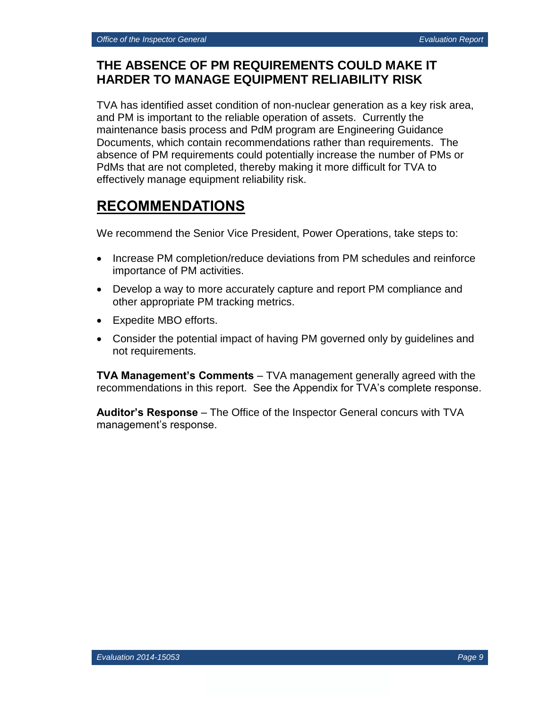## **THE ABSENCE OF PM REQUIREMENTS COULD MAKE IT HARDER TO MANAGE EQUIPMENT RELIABILITY RISK**

TVA has identified asset condition of non-nuclear generation as a key risk area, and PM is important to the reliable operation of assets. Currently the maintenance basis process and PdM program are Engineering Guidance Documents, which contain recommendations rather than requirements. The absence of PM requirements could potentially increase the number of PMs or PdMs that are not completed, thereby making it more difficult for TVA to effectively manage equipment reliability risk.

# **RECOMMENDATIONS**

We recommend the Senior Vice President, Power Operations, take steps to:

- Increase PM completion/reduce deviations from PM schedules and reinforce importance of PM activities.
- Develop a way to more accurately capture and report PM compliance and other appropriate PM tracking metrics.
- Expedite MBO efforts.
- Consider the potential impact of having PM governed only by guidelines and not requirements.

**TVA Management's Comments** – TVA management generally agreed with the recommendations in this report. See the Appendix for TVA's complete response.

**Auditor's Response** – The Office of the Inspector General concurs with TVA management's response.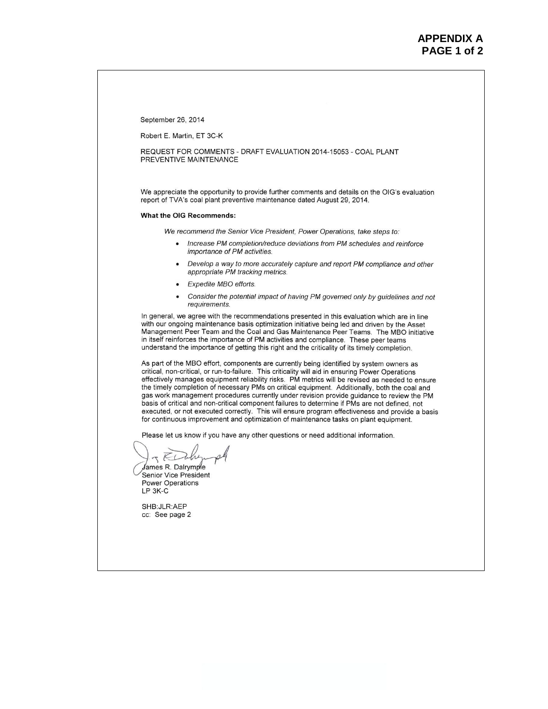September 26, 2014

Robert E. Martin, ET 3C-K

REQUEST FOR COMMENTS - DRAFT EVALUATION 2014-15053 - COAL PLANT PREVENTIVE MAINTENANCE

We appreciate the opportunity to provide further comments and details on the OIG's evaluation report of TVA's coal plant preventive maintenance dated August 29, 2014.

#### What the OIG Recommends:

We recommend the Senior Vice President, Power Operations, take steps to:

- Increase PM completion/reduce deviations from PM schedules and reinforce importance of PM activities.
- Develop a way to more accurately capture and report PM compliance and other appropriate PM tracking metrics.
- Expedite MBO efforts.
- Consider the potential impact of having PM governed only by guidelines and not requirements.

In general, we agree with the recommendations presented in this evaluation which are in line with our ongoing maintenance basis optimization initiative being led and driven by the Asset Management Peer Team and the Coal and Gas Maintenance Peer Teams. The MBO initiative in itself reinforces the importance of PM activities and compliance. These peer teams understand the importance of getting this right and the criticality of its timely completion.

As part of the MBO effort, components are currently being identified by system owners as critical, non-critical, or run-to-failure. This criticality will aid in ensuring Power Operations effectively manages equipment reliability risks. PM metrics will be revised as needed to ensure the timely completion of necessary PMs on critical equipment. Additionally, both the coal and gas work management procedures currently under revision provide guidance to review the PM basis of critical and non-critical component failures to determine if PMs are not defined, not executed, or not executed correctly. This will ensure program effectiveness and provide a basis for continuous improvement and optimization of maintenance tasks on plant equipment.

Please let us know if you have any other questions or need additional information.

TKI James R. Dalrymple

Senior Vice President **Power Operations** LP 3K-C

SHB: JLR: AEP cc: See page 2